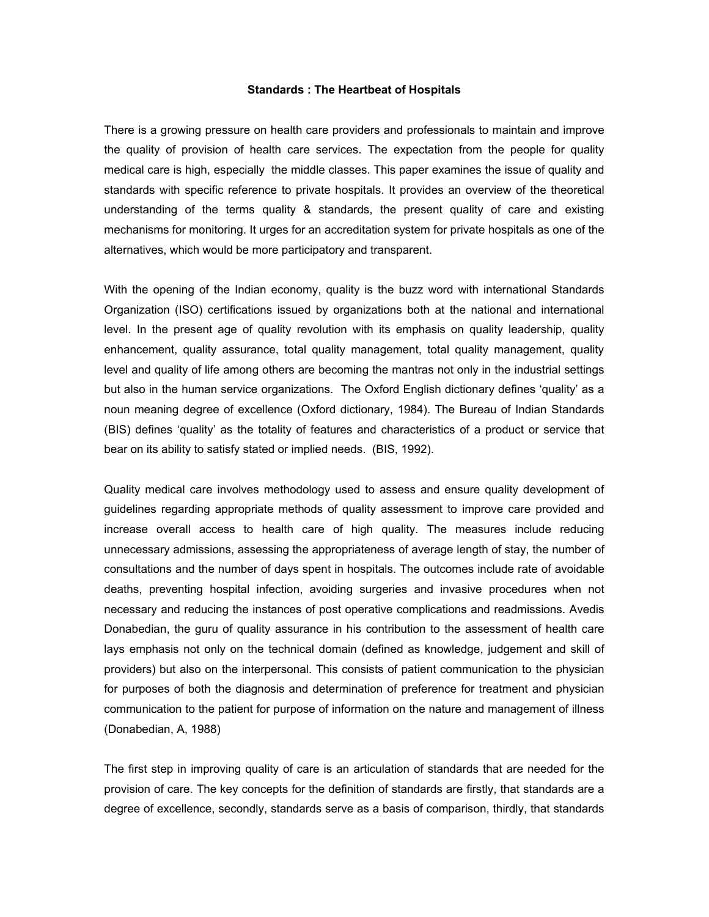## **Standards : The Heartbeat of Hospitals**

There is a growing pressure on health care providers and professionals to maintain and improve the quality of provision of health care services. The expectation from the people for quality medical care is high, especially the middle classes. This paper examines the issue of quality and standards with specific reference to private hospitals. It provides an overview of the theoretical understanding of the terms quality & standards, the present quality of care and existing mechanisms for monitoring. It urges for an accreditation system for private hospitals as one of the alternatives, which would be more participatory and transparent.

With the opening of the Indian economy, quality is the buzz word with international Standards Organization (ISO) certifications issued by organizations both at the national and international level. In the present age of quality revolution with its emphasis on quality leadership, quality enhancement, quality assurance, total quality management, total quality management, quality level and quality of life among others are becoming the mantras not only in the industrial settings but also in the human service organizations. The Oxford English dictionary defines 'quality' as a noun meaning degree of excellence (Oxford dictionary, 1984). The Bureau of Indian Standards (BIS) defines 'quality' as the totality of features and characteristics of a product or service that bear on its ability to satisfy stated or implied needs. (BIS, 1992).

Quality medical care involves methodology used to assess and ensure quality development of guidelines regarding appropriate methods of quality assessment to improve care provided and increase overall access to health care of high quality. The measures include reducing unnecessary admissions, assessing the appropriateness of average length of stay, the number of consultations and the number of days spent in hospitals. The outcomes include rate of avoidable deaths, preventing hospital infection, avoiding surgeries and invasive procedures when not necessary and reducing the instances of post operative complications and readmissions. Avedis Donabedian, the guru of quality assurance in his contribution to the assessment of health care lays emphasis not only on the technical domain (defined as knowledge, judgement and skill of providers) but also on the interpersonal. This consists of patient communication to the physician for purposes of both the diagnosis and determination of preference for treatment and physician communication to the patient for purpose of information on the nature and management of illness (Donabedian, A, 1988)

The first step in improving quality of care is an articulation of standards that are needed for the provision of care. The key concepts for the definition of standards are firstly, that standards are a degree of excellence, secondly, standards serve as a basis of comparison, thirdly, that standards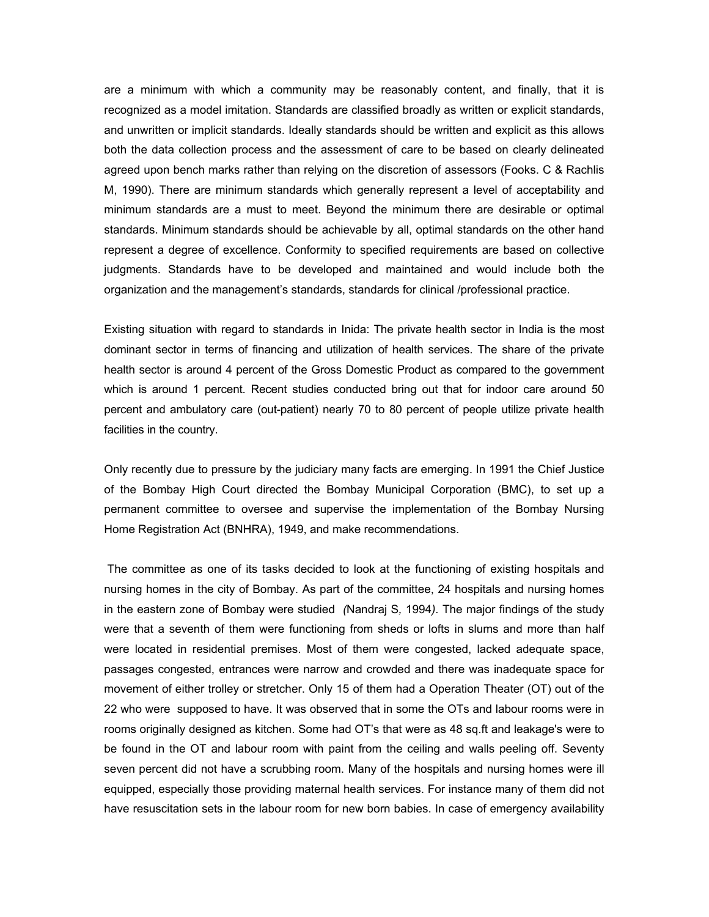are a minimum with which a community may be reasonably content, and finally, that it is recognized as a model imitation. Standards are classified broadly as written or explicit standards, and unwritten or implicit standards. Ideally standards should be written and explicit as this allows both the data collection process and the assessment of care to be based on clearly delineated agreed upon bench marks rather than relying on the discretion of assessors (Fooks. C & Rachlis M, 1990). There are minimum standards which generally represent a level of acceptability and minimum standards are a must to meet. Beyond the minimum there are desirable or optimal standards. Minimum standards should be achievable by all, optimal standards on the other hand represent a degree of excellence. Conformity to specified requirements are based on collective judgments. Standards have to be developed and maintained and would include both the organization and the management's standards, standards for clinical /professional practice.

Existing situation with regard to standards in Inida: The private health sector in India is the most dominant sector in terms of financing and utilization of health services. The share of the private health sector is around 4 percent of the Gross Domestic Product as compared to the government which is around 1 percent. Recent studies conducted bring out that for indoor care around 50 percent and ambulatory care (out-patient) nearly 70 to 80 percent of people utilize private health facilities in the country.

Only recently due to pressure by the judiciary many facts are emerging. In 1991 the Chief Justice of the Bombay High Court directed the Bombay Municipal Corporation (BMC), to set up a permanent committee to oversee and supervise the implementation of the Bombay Nursing Home Registration Act (BNHRA), 1949, and make recommendations.

 The committee as one of its tasks decided to look at the functioning of existing hospitals and nursing homes in the city of Bombay. As part of the committee, 24 hospitals and nursing homes in the eastern zone of Bombay were studied *(*Nandraj S*,* 1994*).* The major findings of the study were that a seventh of them were functioning from sheds or lofts in slums and more than half were located in residential premises. Most of them were congested, lacked adequate space, passages congested, entrances were narrow and crowded and there was inadequate space for movement of either trolley or stretcher. Only 15 of them had a Operation Theater (OT) out of the 22 who were supposed to have. It was observed that in some the OTs and labour rooms were in rooms originally designed as kitchen. Some had OT's that were as 48 sq.ft and leakage's were to be found in the OT and labour room with paint from the ceiling and walls peeling off. Seventy seven percent did not have a scrubbing room. Many of the hospitals and nursing homes were ill equipped, especially those providing maternal health services. For instance many of them did not have resuscitation sets in the labour room for new born babies. In case of emergency availability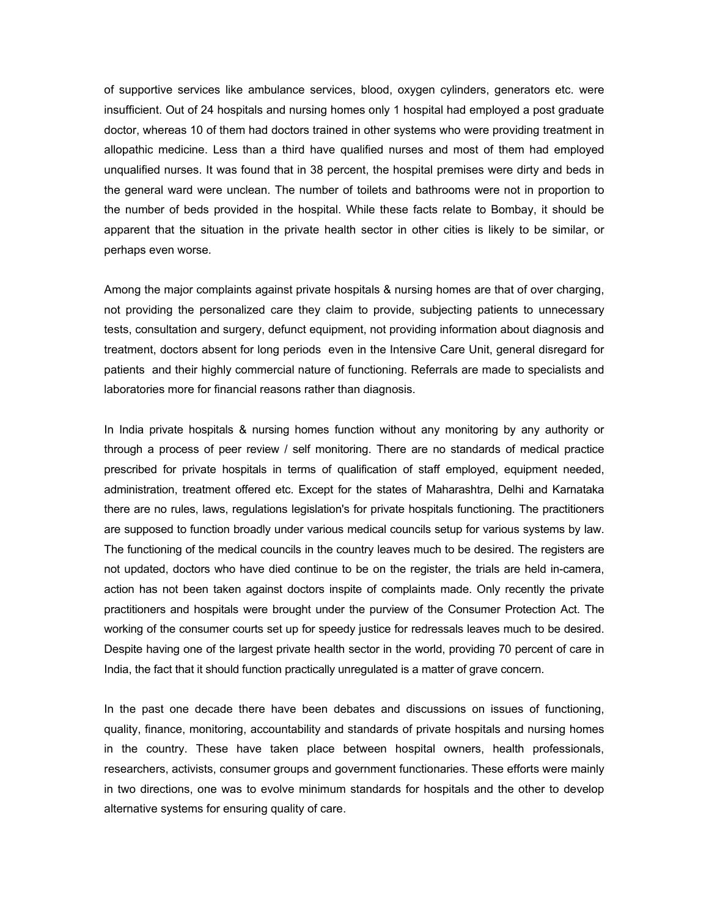of supportive services like ambulance services, blood, oxygen cylinders, generators etc. were insufficient. Out of 24 hospitals and nursing homes only 1 hospital had employed a post graduate doctor, whereas 10 of them had doctors trained in other systems who were providing treatment in allopathic medicine. Less than a third have qualified nurses and most of them had employed unqualified nurses. It was found that in 38 percent, the hospital premises were dirty and beds in the general ward were unclean. The number of toilets and bathrooms were not in proportion to the number of beds provided in the hospital. While these facts relate to Bombay, it should be apparent that the situation in the private health sector in other cities is likely to be similar, or perhaps even worse*.* 

Among the major complaints against private hospitals & nursing homes are that of over charging, not providing the personalized care they claim to provide, subjecting patients to unnecessary tests, consultation and surgery, defunct equipment, not providing information about diagnosis and treatment, doctors absent for long periods even in the Intensive Care Unit, general disregard for patients and their highly commercial nature of functioning. Referrals are made to specialists and laboratories more for financial reasons rather than diagnosis.

In India private hospitals & nursing homes function without any monitoring by any authority or through a process of peer review / self monitoring. There are no standards of medical practice prescribed for private hospitals in terms of qualification of staff employed, equipment needed, administration, treatment offered etc. Except for the states of Maharashtra, Delhi and Karnataka there are no rules, laws, regulations legislation's for private hospitals functioning. The practitioners are supposed to function broadly under various medical councils setup for various systems by law. The functioning of the medical councils in the country leaves much to be desired. The registers are not updated, doctors who have died continue to be on the register, the trials are held in-camera, action has not been taken against doctors inspite of complaints made. Only recently the private practitioners and hospitals were brought under the purview of the Consumer Protection Act. The working of the consumer courts set up for speedy justice for redressals leaves much to be desired. Despite having one of the largest private health sector in the world, providing 70 percent of care in India, the fact that it should function practically unregulated is a matter of grave concern.

In the past one decade there have been debates and discussions on issues of functioning, quality, finance, monitoring, accountability and standards of private hospitals and nursing homes in the country. These have taken place between hospital owners, health professionals, researchers, activists, consumer groups and government functionaries. These efforts were mainly in two directions, one was to evolve minimum standards for hospitals and the other to develop alternative systems for ensuring quality of care.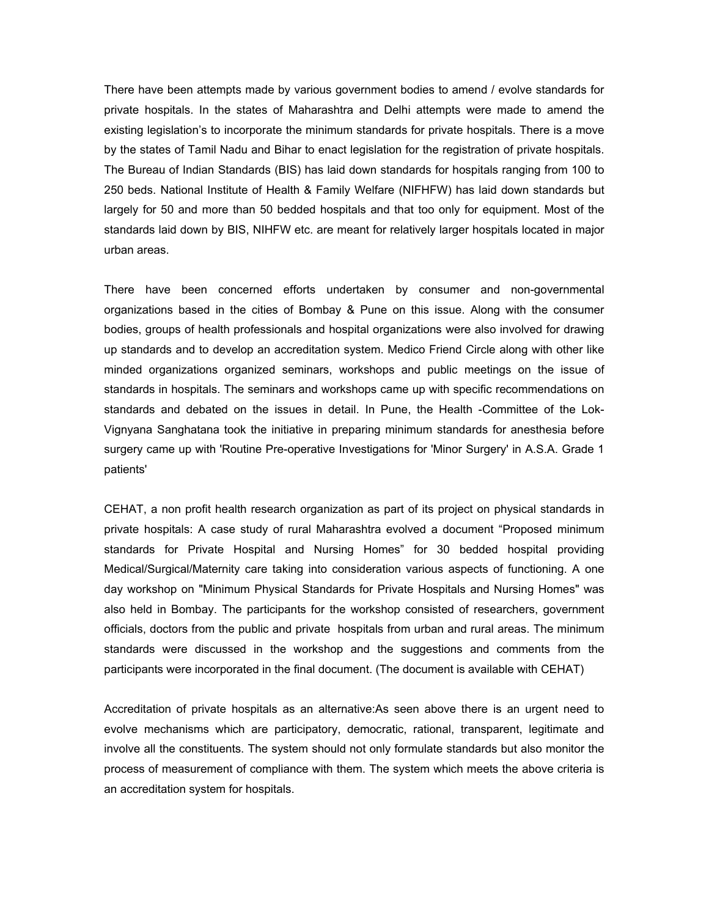There have been attempts made by various government bodies to amend / evolve standards for private hospitals. In the states of Maharashtra and Delhi attempts were made to amend the existing legislation's to incorporate the minimum standards for private hospitals. There is a move by the states of Tamil Nadu and Bihar to enact legislation for the registration of private hospitals. The Bureau of Indian Standards (BIS) has laid down standards for hospitals ranging from 100 to 250 beds. National Institute of Health & Family Welfare (NIFHFW) has laid down standards but largely for 50 and more than 50 bedded hospitals and that too only for equipment. Most of the standards laid down by BIS, NIHFW etc. are meant for relatively larger hospitals located in major urban areas.

There have been concerned efforts undertaken by consumer and non-governmental organizations based in the cities of Bombay & Pune on this issue. Along with the consumer bodies, groups of health professionals and hospital organizations were also involved for drawing up standards and to develop an accreditation system. Medico Friend Circle along with other like minded organizations organized seminars, workshops and public meetings on the issue of standards in hospitals. The seminars and workshops came up with specific recommendations on standards and debated on the issues in detail. In Pune, the Health -Committee of the Lok-Vignyana Sanghatana took the initiative in preparing minimum standards for anesthesia before surgery came up with 'Routine Pre-operative Investigations for 'Minor Surgery' in A.S.A. Grade 1 patients'

CEHAT, a non profit health research organization as part of its project on physical standards in private hospitals: A case study of rural Maharashtra evolved a document "Proposed minimum standards for Private Hospital and Nursing Homes" for 30 bedded hospital providing Medical/Surgical/Maternity care taking into consideration various aspects of functioning. A one day workshop on "Minimum Physical Standards for Private Hospitals and Nursing Homes" was also held in Bombay. The participants for the workshop consisted of researchers, government officials, doctors from the public and private hospitals from urban and rural areas. The minimum standards were discussed in the workshop and the suggestions and comments from the participants were incorporated in the final document. (The document is available with CEHAT)

Accreditation of private hospitals as an alternative:As seen above there is an urgent need to evolve mechanisms which are participatory, democratic, rational, transparent, legitimate and involve all the constituents. The system should not only formulate standards but also monitor the process of measurement of compliance with them. The system which meets the above criteria is an accreditation system for hospitals.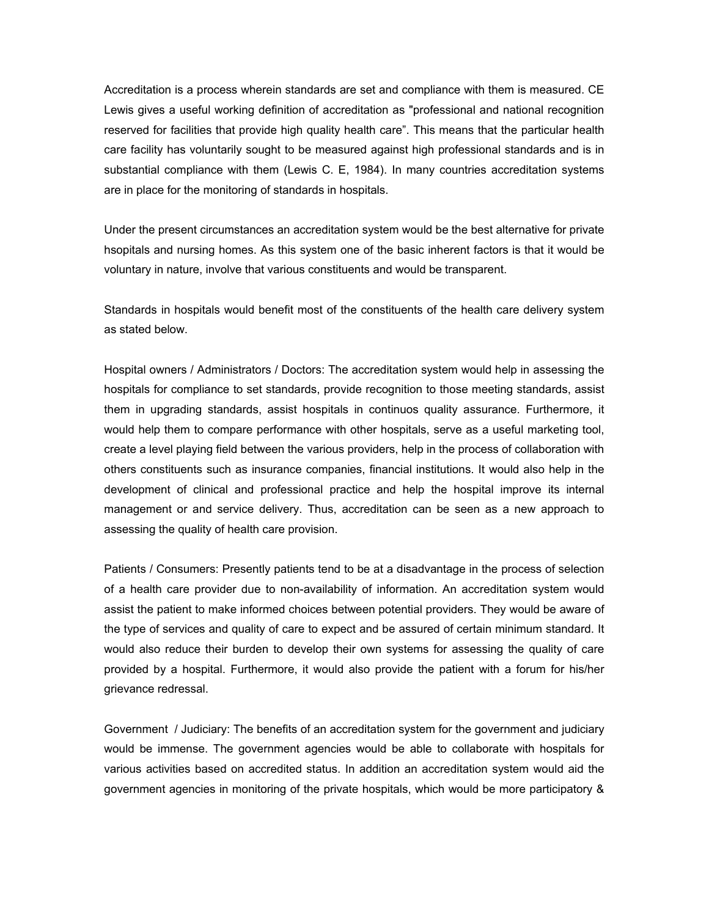Accreditation is a process wherein standards are set and compliance with them is measured. CE Lewis gives a useful working definition of accreditation as "professional and national recognition reserved for facilities that provide high quality health care". This means that the particular health care facility has voluntarily sought to be measured against high professional standards and is in substantial compliance with them (Lewis C. E, 1984). In many countries accreditation systems are in place for the monitoring of standards in hospitals.

Under the present circumstances an accreditation system would be the best alternative for private hsopitals and nursing homes. As this system one of the basic inherent factors is that it would be voluntary in nature, involve that various constituents and would be transparent.

Standards in hospitals would benefit most of the constituents of the health care delivery system as stated below.

Hospital owners / Administrators / Doctors: The accreditation system would help in assessing the hospitals for compliance to set standards, provide recognition to those meeting standards, assist them in upgrading standards, assist hospitals in continuos quality assurance. Furthermore, it would help them to compare performance with other hospitals, serve as a useful marketing tool, create a level playing field between the various providers, help in the process of collaboration with others constituents such as insurance companies, financial institutions. It would also help in the development of clinical and professional practice and help the hospital improve its internal management or and service delivery. Thus, accreditation can be seen as a new approach to assessing the quality of health care provision.

Patients / Consumers: Presently patients tend to be at a disadvantage in the process of selection of a health care provider due to non-availability of information. An accreditation system would assist the patient to make informed choices between potential providers. They would be aware of the type of services and quality of care to expect and be assured of certain minimum standard. It would also reduce their burden to develop their own systems for assessing the quality of care provided by a hospital. Furthermore, it would also provide the patient with a forum for his/her grievance redressal.

Government / Judiciary: The benefits of an accreditation system for the government and judiciary would be immense. The government agencies would be able to collaborate with hospitals for various activities based on accredited status. In addition an accreditation system would aid the government agencies in monitoring of the private hospitals, which would be more participatory &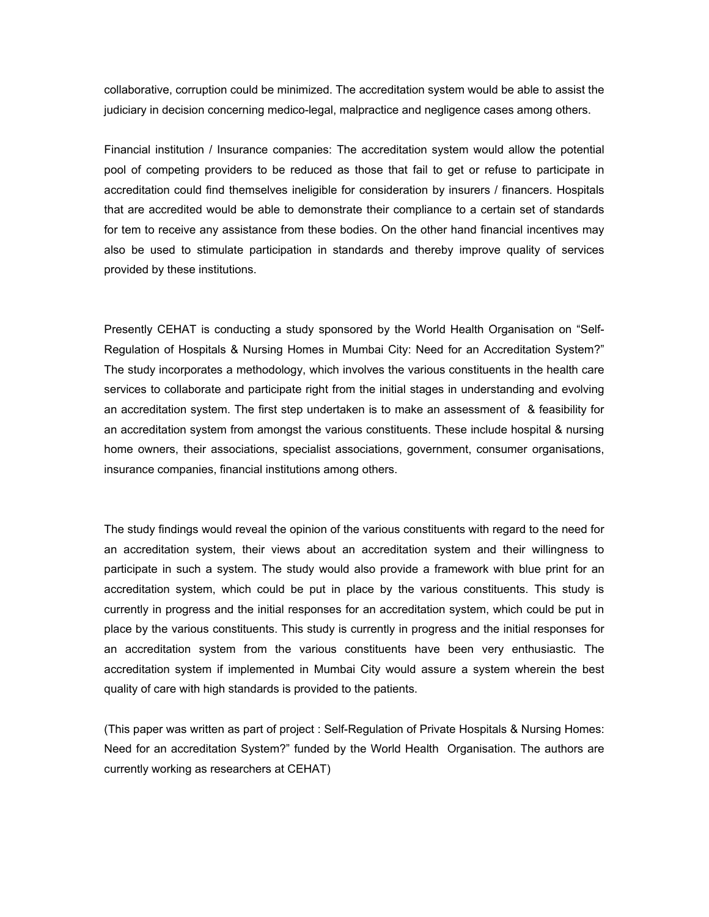collaborative, corruption could be minimized. The accreditation system would be able to assist the judiciary in decision concerning medico-legal, malpractice and negligence cases among others.

Financial institution / Insurance companies: The accreditation system would allow the potential pool of competing providers to be reduced as those that fail to get or refuse to participate in accreditation could find themselves ineligible for consideration by insurers / financers. Hospitals that are accredited would be able to demonstrate their compliance to a certain set of standards for tem to receive any assistance from these bodies. On the other hand financial incentives may also be used to stimulate participation in standards and thereby improve quality of services provided by these institutions.

Presently CEHAT is conducting a study sponsored by the World Health Organisation on "Self-Regulation of Hospitals & Nursing Homes in Mumbai City: Need for an Accreditation System?" The study incorporates a methodology, which involves the various constituents in the health care services to collaborate and participate right from the initial stages in understanding and evolving an accreditation system. The first step undertaken is to make an assessment of & feasibility for an accreditation system from amongst the various constituents. These include hospital & nursing home owners, their associations, specialist associations, government, consumer organisations, insurance companies, financial institutions among others.

The study findings would reveal the opinion of the various constituents with regard to the need for an accreditation system, their views about an accreditation system and their willingness to participate in such a system. The study would also provide a framework with blue print for an accreditation system, which could be put in place by the various constituents. This study is currently in progress and the initial responses for an accreditation system, which could be put in place by the various constituents. This study is currently in progress and the initial responses for an accreditation system from the various constituents have been very enthusiastic. The accreditation system if implemented in Mumbai City would assure a system wherein the best quality of care with high standards is provided to the patients.

(This paper was written as part of project : Self-Regulation of Private Hospitals & Nursing Homes: Need for an accreditation System?" funded by the World Health Organisation. The authors are currently working as researchers at CEHAT)